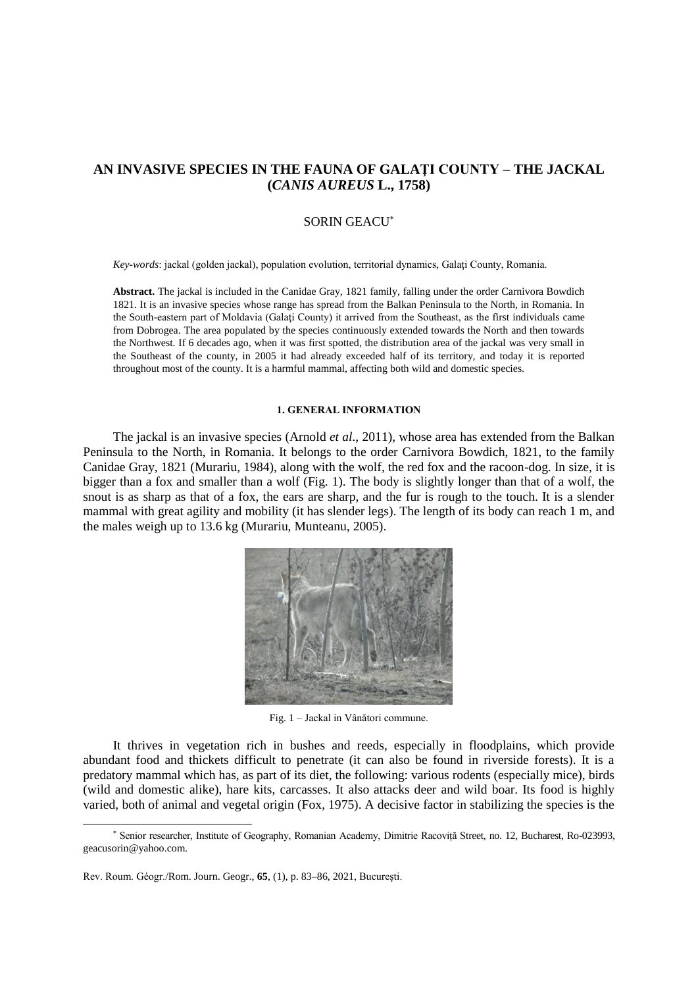# **AN INVASIVE SPECIES IN THE FAUNA OF GALAŢI COUNTY – THE JACKAL (***CANIS AUREUS* **L., 1758)**

# SORIN GEACU

*Key-words*: jackal (golden jackal), population evolution, territorial dynamics, Galaţi County, Romania.

**Abstract.** The jackal is included in the Canidae Gray, 1821 family, falling under the order Carnivora Bowdich 1821. It is an invasive species whose range has spread from the Balkan Peninsula to the North, in Romania. In the South-eastern part of Moldavia (Galaţi County) it arrived from the Southeast, as the first individuals came from Dobrogea. The area populated by the species continuously extended towards the North and then towards the Northwest. If 6 decades ago, when it was first spotted, the distribution area of the jackal was very small in the Southeast of the county, in 2005 it had already exceeded half of its territory, and today it is reported throughout most of the county. It is a harmful mammal, affecting both wild and domestic species.

# **1. GENERAL INFORMATION**

The jackal is an invasive species (Arnold *et al.*, 2011), whose area has extended from the Balkan Peninsula to the North, in Romania. It belongs to the order Carnivora Bowdich, 1821, to the family Canidae Gray, 1821 (Murariu, 1984), along with the wolf, the red fox and the racoon-dog. In size, it is bigger than a fox and smaller than a wolf (Fig. 1). The body is slightly longer than that of a wolf, the snout is as sharp as that of a fox, the ears are sharp, and the fur is rough to the touch. It is a slender mammal with great agility and mobility (it has slender legs). The length of its body can reach 1 m, and the males weigh up to 13.6 kg (Murariu, Munteanu, 2005).



Fig. 1 – Jackal in Vânători commune.

It thrives in vegetation rich in bushes and reeds, especially in floodplains, which provide abundant food and thickets difficult to penetrate (it can also be found in riverside forests). It is a predatory mammal which has, as part of its diet, the following: various rodents (especially mice), birds (wild and domestic alike), hare kits, carcasses. It also attacks deer and wild boar. Its food is highly varied, both of animal and vegetal origin (Fox, 1975). A decisive factor in stabilizing the species is the

 $\overline{a}$ 

Senior researcher, Institute of Geography, Romanian Academy, Dimitrie Racoviță Street, no. 12, Bucharest, Ro-023993, geacusorin@yahoo.com.

Rev. Roum. Géogr./Rom. Journ. Geogr., **65**, (1), p. 83–86, 2021, Bucureşti.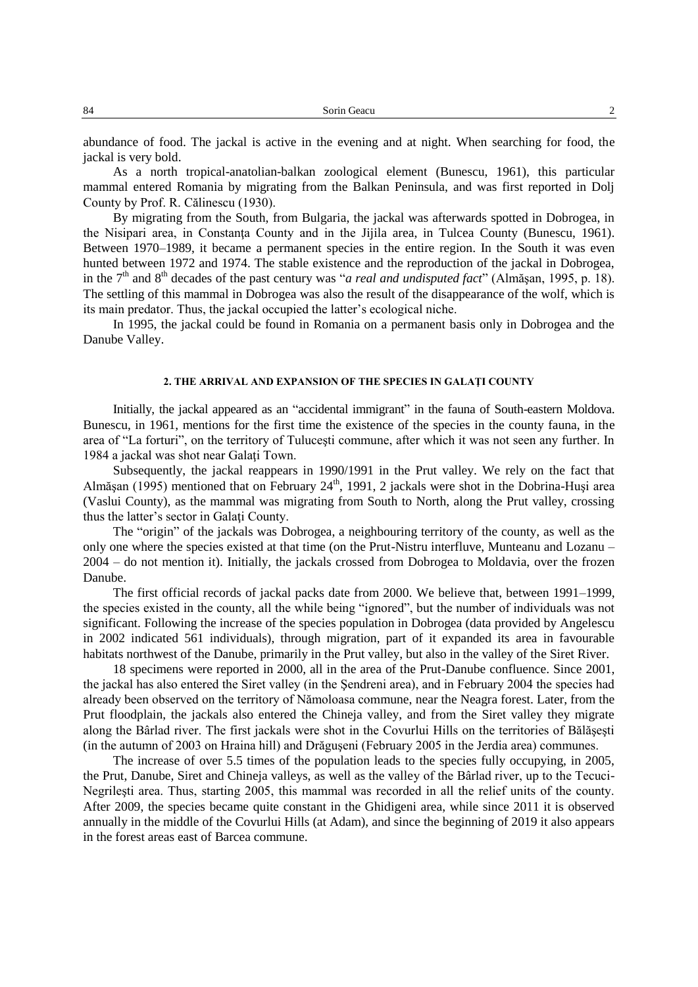abundance of food. The jackal is active in the evening and at night. When searching for food, the jackal is very bold.

As a north tropical-anatolian-balkan zoological element (Bunescu, 1961), this particular mammal entered Romania by migrating from the Balkan Peninsula, and was first reported in Dolj County by Prof. R. Călinescu (1930).

By migrating from the South, from Bulgaria, the jackal was afterwards spotted in Dobrogea, in the Nisipari area, in Constanţa County and in the Jijila area, in Tulcea County (Bunescu, 1961). Between 1970–1989, it became a permanent species in the entire region. In the South it was even hunted between 1972 and 1974. The stable existence and the reproduction of the jackal in Dobrogea, in the 7<sup>th</sup> and 8<sup>th</sup> decades of the past century was "*a real and undisputed fact*" (Almășan, 1995, p. 18). The settling of this mammal in Dobrogea was also the result of the disappearance of the wolf, which is its main predator. Thus, the jackal occupied the latter's ecological niche.

In 1995, the jackal could be found in Romania on a permanent basis only in Dobrogea and the Danube Valley.

### **2. THE ARRIVAL AND EXPANSION OF THE SPECIES IN GALAŢI COUNTY**

Initially, the jackal appeared as an "accidental immigrant" in the fauna of South-eastern Moldova. Bunescu, in 1961, mentions for the first time the existence of the species in the county fauna, in the area of "La forturi", on the territory of Tuluceşti commune, after which it was not seen any further. In 1984 a jackal was shot near Galaţi Town.

Subsequently, the jackal reappears in 1990/1991 in the Prut valley. We rely on the fact that Almășan (1995) mentioned that on February 24<sup>th</sup>, 1991, 2 jackals were shot in the Dobrina-Huși area (Vaslui County), as the mammal was migrating from South to North, along the Prut valley, crossing thus the latter's sector in Galaţi County.

The "origin" of the jackals was Dobrogea, a neighbouring territory of the county, as well as the only one where the species existed at that time (on the Prut-Nistru interfluve, Munteanu and Lozanu – 2004 – do not mention it). Initially, the jackals crossed from Dobrogea to Moldavia, over the frozen Danube.

The first official records of jackal packs date from 2000. We believe that, between 1991–1999, the species existed in the county, all the while being "ignored", but the number of individuals was not significant. Following the increase of the species population in Dobrogea (data provided by Angelescu in 2002 indicated 561 individuals), through migration, part of it expanded its area in favourable habitats northwest of the Danube, primarily in the Prut valley, but also in the valley of the Siret River.

18 specimens were reported in 2000, all in the area of the Prut-Danube confluence. Since 2001, the jackal has also entered the Siret valley (in the Şendreni area), and in February 2004 the species had already been observed on the territory of Nămoloasa commune, near the Neagra forest. Later, from the Prut floodplain, the jackals also entered the Chineja valley, and from the Siret valley they migrate along the Bârlad river. The first jackals were shot in the Covurlui Hills on the territories of Bălăşeşti (in the autumn of 2003 on Hraina hill) and Drăguşeni (February 2005 in the Jerdia area) communes.

The increase of over 5.5 times of the population leads to the species fully occupying, in 2005, the Prut, Danube, Siret and Chineja valleys, as well as the valley of the Bârlad river, up to the Tecuci-Negrileşti area. Thus, starting 2005, this mammal was recorded in all the relief units of the county. After 2009, the species became quite constant in the Ghidigeni area, while since 2011 it is observed annually in the middle of the Covurlui Hills (at Adam), and since the beginning of 2019 it also appears in the forest areas east of Barcea commune.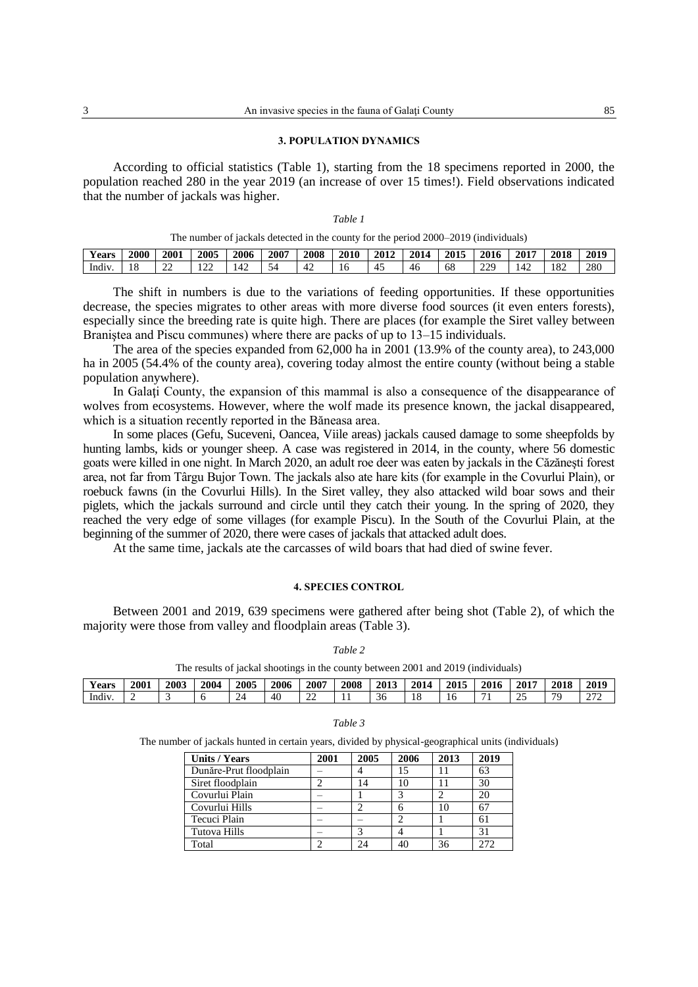#### **3. POPULATION DYNAMICS**

According to official statistics (Table 1), starting from the 18 specimens reported in 2000, the population reached 280 in the year 2019 (an increase of over 15 times!). Field observations indicated that the number of jackals was higher.

|  | The number of jackals detected in the county for the period 2000–2019 (individuals) |  |  |  |  |
|--|-------------------------------------------------------------------------------------|--|--|--|--|
|--|-------------------------------------------------------------------------------------|--|--|--|--|

| $\mathbf{r}$<br><b>Years</b> | 2000     | 2001        | 2005            | 2006 | 2007 | 2008           | 2010 | 2012          | 2014 | 2015 | 2016     | 2017 | 2018                 | $201$ c |
|------------------------------|----------|-------------|-----------------|------|------|----------------|------|---------------|------|------|----------|------|----------------------|---------|
| $\cdots$<br>-Indiv           | 10<br>10 | $\sim$<br>∸ | $\bigcap$<br>∸∸ | 42   | -    | 4 <sub>4</sub> | r    | -<br>4<br>r., | 46   | 68   | າາດ<br>∼ |      | $\sim$ $\sim$<br>104 | 280     |

The shift in numbers is due to the variations of feeding opportunities. If these opportunities decrease, the species migrates to other areas with more diverse food sources (it even enters forests), especially since the breeding rate is quite high. There are places (for example the Siret valley between Braniştea and Piscu communes) where there are packs of up to 13–15 individuals.

The area of the species expanded from 62,000 ha in 2001 (13.9% of the county area), to 243,000 ha in 2005 (54.4% of the county area), covering today almost the entire county (without being a stable population anywhere).

In Galaţi County, the expansion of this mammal is also a consequence of the disappearance of wolves from ecosystems. However, where the wolf made its presence known, the jackal disappeared, which is a situation recently reported in the Băneasa area.

In some places (Gefu, Suceveni, Oancea, Viile areas) jackals caused damage to some sheepfolds by hunting lambs, kids or younger sheep. A case was registered in 2014, in the county, where 56 domestic goats were killed in one night. In March 2020, an adult roe deer was eaten by jackals in the Căzăneşti forest area, not far from Târgu Bujor Town. The jackals also ate hare kits (for example in the Covurlui Plain), or roebuck fawns (in the Covurlui Hills). In the Siret valley, they also attacked wild boar sows and their piglets, which the jackals surround and circle until they catch their young. In the spring of 2020, they reached the very edge of some villages (for example Piscu). In the South of the Covurlui Plain, at the beginning of the summer of 2020, there were cases of jackals that attacked adult does.

At the same time, jackals ate the carcasses of wild boars that had died of swine fever.

## **4. SPECIES CONTROL**

Between 2001 and 2019, 639 specimens were gathered after being shot (Table 2), of which the majority were those from valley and floodplain areas (Table 3).

#### *Table 2*

The results of jackal shootings in the county between 2001 and 2019 (individuals)

| .,<br>Years | <b>2001</b> | 2003 | 2004 | 2005 | 2006 | 2007 | 2008 | 2013 | 201 <sub>6</sub><br>14، | 2015 | 2016 | 2017     | 2018 | 2019   |
|-------------|-------------|------|------|------|------|------|------|------|-------------------------|------|------|----------|------|--------|
| Indiv       |             |      |      |      | 40   | --   | . .  |      |                         | 1 U  |      | <u>_</u> | 70   | $\sim$ |

#### *Table 3*

The number of jackals hunted in certain years, divided by physical-geographical units (individuals)

| <b>Units / Years</b>   | 2001 | 2005 | 2006 | 2013 | 2019 |
|------------------------|------|------|------|------|------|
| Dunăre-Prut floodplain |      |      | 15   |      | 63   |
| Siret floodplain       |      |      | 10   |      | 30   |
| Covurlui Plain         |      |      |      |      | 20   |
| Covurlui Hills         |      |      |      |      | 67   |
| Tecuci Plain           |      |      |      |      | 61   |
| Tutova Hills           |      |      |      |      | 31   |
| Total                  |      |      |      |      |      |